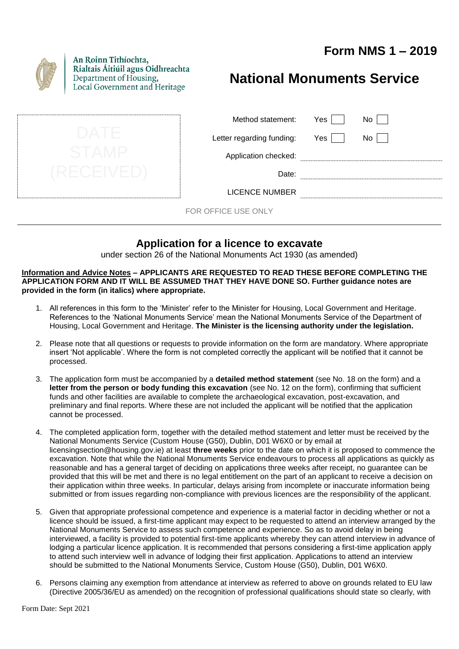# **Form NMS 1 – 2019**



An Roinn Tithíochta, Rialtais Áitiúil agus Oidhreachta Department of Housing, Local Government and Heritage

# **National Monuments Service**

| Method statement:         | Yes |  |
|---------------------------|-----|--|
| Letter regarding funding: | Yes |  |
| Application checked:      |     |  |
| Date:                     |     |  |
| LICENCE NUMBER            |     |  |

FOR OFFICE USE ONLY

# **Application for a licence to excavate**

under section 26 of the National Monuments Act 1930 (as amended)

**Information and Advice Notes – APPLICANTS ARE REQUESTED TO READ THESE BEFORE COMPLETING THE APPLICATION FORM AND IT WILL BE ASSUMED THAT THEY HAVE DONE SO. Further guidance notes are provided in the form (in italics) where appropriate.**

- 1. All references in this form to the 'Minister' refer to the Minister for Housing, Local Government and Heritage. References to the 'National Monuments Service' mean the National Monuments Service of the Department of Housing, Local Government and Heritage. **The Minister is the licensing authority under the legislation.**
- 2. Please note that all questions or requests to provide information on the form are mandatory. Where appropriate insert 'Not applicable'. Where the form is not completed correctly the applicant will be notified that it cannot be processed.
- 3. The application form must be accompanied by a **detailed method statement** (see No. 18 on the form) and a **letter from the person or body funding this excavation** (see No. 12 on the form), confirming that sufficient funds and other facilities are available to complete the archaeological excavation, post-excavation, and preliminary and final reports. Where these are not included the applicant will be notified that the application cannot be processed.
- 4. The completed application form, together with the detailed method statement and letter must be received by the National Monuments Service (Custom House (G50), Dublin, D01 W6X0 or by email at licensingsection@housing.gov.ie) at least **three weeks** prior to the date on which it is proposed to commence the excavation. Note that while the National Monuments Service endeavours to process all applications as quickly as reasonable and has a general target of deciding on applications three weeks after receipt, no guarantee can be provided that this will be met and there is no legal entitlement on the part of an applicant to receive a decision on their application within three weeks. In particular, delays arising from incomplete or inaccurate information being submitted or from issues regarding non-compliance with previous licences are the responsibility of the applicant.
- 5. Given that appropriate professional competence and experience is a material factor in deciding whether or not a licence should be issued, a first-time applicant may expect to be requested to attend an interview arranged by the National Monuments Service to assess such competence and experience. So as to avoid delay in being interviewed, a facility is provided to potential first-time applicants whereby they can attend interview in advance of lodging a particular licence application. It is recommended that persons considering a first-time application apply to attend such interview well in advance of lodging their first application. Applications to attend an interview should be submitted to the National Monuments Service, Custom House (G50), Dublin, D01 W6X0.
- 6. Persons claiming any exemption from attendance at interview as referred to above on grounds related to EU law (Directive 2005/36/EU as amended) on the recognition of professional qualifications should state so clearly, with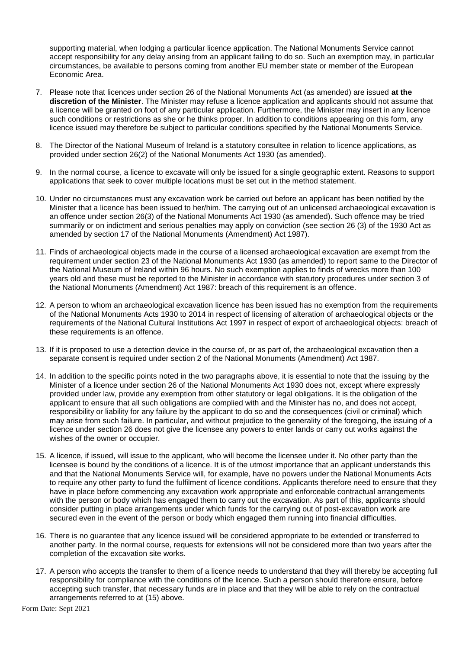supporting material, when lodging a particular licence application. The National Monuments Service cannot accept responsibility for any delay arising from an applicant failing to do so. Such an exemption may, in particular circumstances, be available to persons coming from another EU member state or member of the European Economic Area.

- 7. Please note that licences under section 26 of the National Monuments Act (as amended) are issued **at the discretion of the Minister**. The Minister may refuse a licence application and applicants should not assume that a licence will be granted on foot of any particular application. Furthermore, the Minister may insert in any licence such conditions or restrictions as she or he thinks proper. In addition to conditions appearing on this form, any licence issued may therefore be subject to particular conditions specified by the National Monuments Service.
- 8. The Director of the National Museum of Ireland is a statutory consultee in relation to licence applications, as provided under section 26(2) of the National Monuments Act 1930 (as amended).
- 9. In the normal course, a licence to excavate will only be issued for a single geographic extent. Reasons to support applications that seek to cover multiple locations must be set out in the method statement.
- 10. Under no circumstances must any excavation work be carried out before an applicant has been notified by the Minister that a licence has been issued to her/him. The carrying out of an unlicensed archaeological excavation is an offence under section 26(3) of the National Monuments Act 1930 (as amended). Such offence may be tried summarily or on indictment and serious penalties may apply on conviction (see section 26 (3) of the 1930 Act as amended by section 17 of the National Monuments (Amendment) Act 1987).
- 11. Finds of archaeological objects made in the course of a licensed archaeological excavation are exempt from the requirement under section 23 of the National Monuments Act 1930 (as amended) to report same to the Director of the National Museum of Ireland within 96 hours. No such exemption applies to finds of wrecks more than 100 years old and these must be reported to the Minister in accordance with statutory procedures under section 3 of the National Monuments (Amendment) Act 1987: breach of this requirement is an offence.
- 12. A person to whom an archaeological excavation licence has been issued has no exemption from the requirements of the National Monuments Acts 1930 to 2014 in respect of licensing of alteration of archaeological objects or the requirements of the National Cultural Institutions Act 1997 in respect of export of archaeological objects: breach of these requirements is an offence.
- 13. If it is proposed to use a detection device in the course of, or as part of, the archaeological excavation then a separate consent is required under section 2 of the National Monuments (Amendment) Act 1987.
- 14. In addition to the specific points noted in the two paragraphs above, it is essential to note that the issuing by the Minister of a licence under section 26 of the National Monuments Act 1930 does not, except where expressly provided under law, provide any exemption from other statutory or legal obligations. It is the obligation of the applicant to ensure that all such obligations are complied with and the Minister has no, and does not accept, responsibility or liability for any failure by the applicant to do so and the consequences (civil or criminal) which may arise from such failure. In particular, and without prejudice to the generality of the foregoing, the issuing of a licence under section 26 does not give the licensee any powers to enter lands or carry out works against the wishes of the owner or occupier.
- 15. A licence, if issued, will issue to the applicant, who will become the licensee under it. No other party than the licensee is bound by the conditions of a licence. It is of the utmost importance that an applicant understands this and that the National Monuments Service will, for example, have no powers under the National Monuments Acts to require any other party to fund the fulfilment of licence conditions. Applicants therefore need to ensure that they have in place before commencing any excavation work appropriate and enforceable contractual arrangements with the person or body which has engaged them to carry out the excavation. As part of this, applicants should consider putting in place arrangements under which funds for the carrying out of post-excavation work are secured even in the event of the person or body which engaged them running into financial difficulties.
- 16. There is no guarantee that any licence issued will be considered appropriate to be extended or transferred to another party. In the normal course, requests for extensions will not be considered more than two years after the completion of the excavation site works.
- 17. A person who accepts the transfer to them of a licence needs to understand that they will thereby be accepting full responsibility for compliance with the conditions of the licence. Such a person should therefore ensure, before accepting such transfer, that necessary funds are in place and that they will be able to rely on the contractual arrangements referred to at (15) above.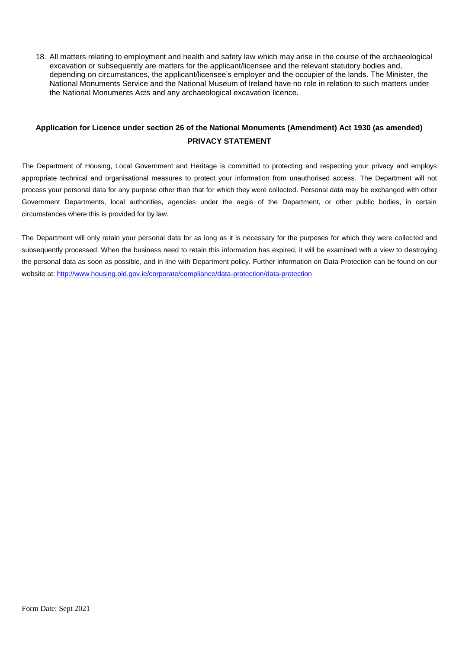18. All matters relating to employment and health and safety law which may arise in the course of the archaeological excavation or subsequently are matters for the applicant/licensee and the relevant statutory bodies and, depending on circumstances, the applicant/licensee's employer and the occupier of the lands. The Minister, the National Monuments Service and the National Museum of Ireland have no role in relation to such matters under the National Monuments Acts and any archaeological excavation licence.

### **Application for Licence under section 26 of the National Monuments (Amendment) Act 1930 (as amended) PRIVACY STATEMENT**

The Department of Housing, Local Government and Heritage is committed to protecting and respecting your privacy and employs appropriate technical and organisational measures to protect your information from unauthorised access. The Department will not process your personal data for any purpose other than that for which they were collected. Personal data may be exchanged with other Government Departments, local authorities, agencies under the aegis of the Department, or other public bodies, in certain circumstances where this is provided for by law.

The Department will only retain your personal data for as long as it is necessary for the purposes for which they were collected and subsequently processed. When the business need to retain this information has expired, it will be examined with a view to destroying the personal data as soon as possible, and in line with Department policy. Further information on Data Protection can be found on our website at:<http://www.housing.old.gov.ie/corporate/compliance/data-protection/data-protection>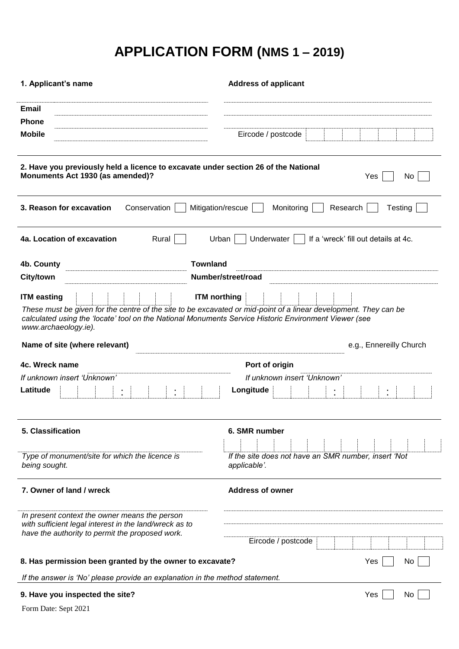# **APPLICATION FORM (NMS 1 – 2019)**

| 1. Applicant's name                                                                                                                                                                                                                                                    | <b>Address of applicant</b>                                          |
|------------------------------------------------------------------------------------------------------------------------------------------------------------------------------------------------------------------------------------------------------------------------|----------------------------------------------------------------------|
| <b>Email</b>                                                                                                                                                                                                                                                           |                                                                      |
| <b>Phone</b>                                                                                                                                                                                                                                                           |                                                                      |
| <b>Mobile</b>                                                                                                                                                                                                                                                          | Eircode / postcode                                                   |
| 2. Have you previously held a licence to excavate under section 26 of the National<br>Monuments Act 1930 (as amended)?                                                                                                                                                 | Yes<br>No.                                                           |
| 3. Reason for excavation<br>Conservation<br>Mitigation/rescue                                                                                                                                                                                                          | Monitoring<br>Research<br>Testing                                    |
| Rural<br>4a. Location of excavation<br>Urban                                                                                                                                                                                                                           | If a 'wreck' fill out details at 4c.<br>Underwater                   |
| <b>Townland</b><br>4b. County                                                                                                                                                                                                                                          |                                                                      |
| <b>City/town</b>                                                                                                                                                                                                                                                       | Number/street/road                                                   |
| <b>ITM</b> northing<br><b>ITM easting</b><br>These must be given for the centre of the site to be excavated or mid-point of a linear development. They can be<br>calculated using the 'locate' tool on the National Monuments Service Historic Environment Viewer (see |                                                                      |
| www.archaeology.ie).                                                                                                                                                                                                                                                   |                                                                      |
| Name of site (where relevant)                                                                                                                                                                                                                                          | e.g., Ennereilly Church                                              |
| 4c. Wreck name                                                                                                                                                                                                                                                         | Port of origin                                                       |
| If unknown insert 'Unknown'                                                                                                                                                                                                                                            | If unknown insert 'Unknown'                                          |
| Latitude                                                                                                                                                                                                                                                               | Longitude                                                            |
| 5. Classification                                                                                                                                                                                                                                                      | 6. SMR number                                                        |
|                                                                                                                                                                                                                                                                        |                                                                      |
| Type of monument/site for which the licence is<br>being sought.                                                                                                                                                                                                        | If the site does not have an SMR number, insert 'Not<br>applicable'. |
| 7. Owner of land / wreck                                                                                                                                                                                                                                               | <b>Address of owner</b>                                              |
| In present context the owner means the person<br>with sufficient legal interest in the land/wreck as to<br>have the authority to permit the proposed work.                                                                                                             |                                                                      |
|                                                                                                                                                                                                                                                                        | Eircode / postcode                                                   |
| 8. Has permission been granted by the owner to excavate?                                                                                                                                                                                                               | Yes<br>No                                                            |
| If the answer is 'No' please provide an explanation in the method statement.                                                                                                                                                                                           |                                                                      |
| 9. Have you inspected the site?                                                                                                                                                                                                                                        | Yes<br>No                                                            |
| Form Date: Sept 2021                                                                                                                                                                                                                                                   |                                                                      |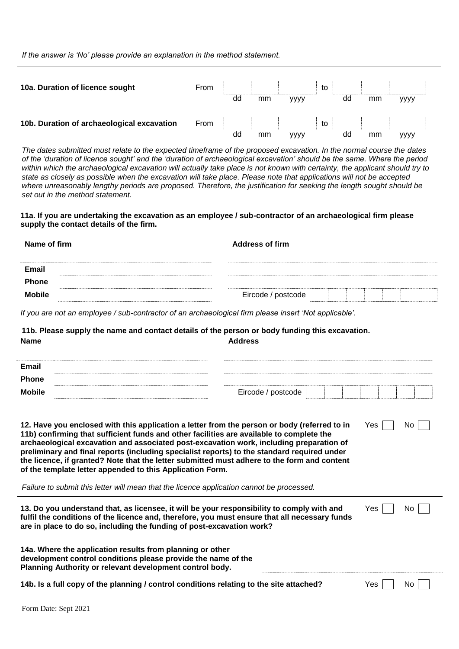*If the answer is 'No' please provide an explanation in the method statement.*

| 10a. Duration of licence sought            | From |    |    |             | to |    |    |      |  |
|--------------------------------------------|------|----|----|-------------|----|----|----|------|--|
|                                            |      | dd | mm | <b>YYYY</b> |    | dd | mm | уууу |  |
| 10b. Duration of archaeological excavation | From |    |    |             | to |    |    |      |  |
|                                            |      | dd | mm | уууу        |    | dd | mm | уууу |  |

*The dates submitted must relate to the expected timeframe of the proposed excavation. In the normal course the dates of the 'duration of licence sought' and the 'duration of archaeological excavation' should be the same. Where the period within which the archaeological excavation will actually take place is not known with certainty, the applicant should try to state as closely as possible when the excavation will take place. Please note that applications will not be accepted where unreasonably lengthy periods are proposed. Therefore, the justification for seeking the length sought should be set out in the method statement.*

**11a. If you are undertaking the excavation as an employee / sub-contractor of an archaeological firm please supply the contact details of the firm.**

| Name of firm  |                                                                                                       | <b>Address of firm</b> |  |  |  |  |  |  |  |
|---------------|-------------------------------------------------------------------------------------------------------|------------------------|--|--|--|--|--|--|--|
|               |                                                                                                       |                        |  |  |  |  |  |  |  |
| Email         |                                                                                                       |                        |  |  |  |  |  |  |  |
| <b>Phone</b>  |                                                                                                       |                        |  |  |  |  |  |  |  |
| <b>Mobile</b> |                                                                                                       | Eircode / postcode     |  |  |  |  |  |  |  |
|               | If you are not an employee / sub-contractor of an archaeological firm please insert 'Not applicable'. |                        |  |  |  |  |  |  |  |

**11b. Please supply the name and contact details of the person or body funding this excavation. Name Address**

| Email         |                    |  |  |
|---------------|--------------------|--|--|
| Phone         |                    |  |  |
| <b>Mobile</b> | Eircode / postcode |  |  |
|               |                    |  |  |

 $Yes \Box No \Box$ 

**12. Have you enclosed with this application a letter from the person or body (referred to in 11b) confirming that sufficient funds and other facilities are available to complete the archaeological excavation and associated post-excavation work, including preparation of preliminary and final reports (including specialist reports) to the standard required under the licence, if granted? Note that the letter submitted must adhere to the form and content of the template letter appended to this Application Form.**

*Failure to submit this letter will mean that the licence application cannot be processed.*

| 13. Do you understand that, as licensee, it will be your responsibility to comply with and<br>fulfil the conditions of the licence and, therefore, you must ensure that all necessary funds<br>are in place to do so, including the funding of post-excavation work? | Yes | No I |
|----------------------------------------------------------------------------------------------------------------------------------------------------------------------------------------------------------------------------------------------------------------------|-----|------|
| 14a. Where the application results from planning or other<br>development control conditions please provide the name of the<br>Planning Authority or relevant development control body.                                                                               |     |      |

| 14b. Is a full copy of the planning / control conditions relating to the site attached? | Yes I | - Nc |  |
|-----------------------------------------------------------------------------------------|-------|------|--|
|-----------------------------------------------------------------------------------------|-------|------|--|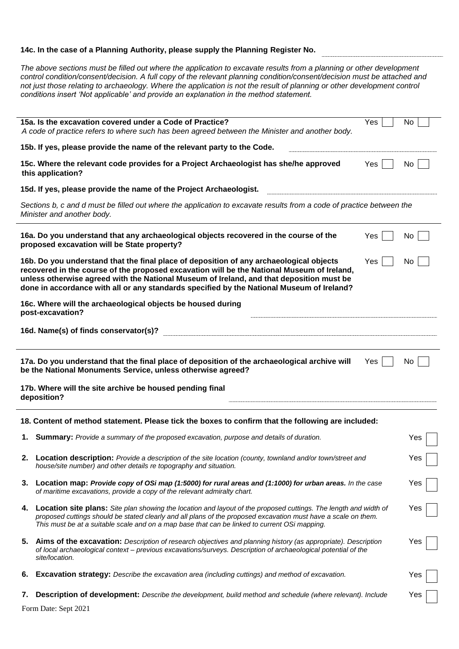#### **14c. In the case of a Planning Authority, please supply the Planning Register No.**

*The above sections must be filled out where the application to excavate results from a planning or other development control condition/consent/decision. A full copy of the relevant planning condition/consent/decision must be attached and not just those relating to archaeology. Where the application is not the result of planning or other development control conditions insert 'Not applicable' and provide an explanation in the method statement.*

|    | 15a. Is the excavation covered under a Code of Practice?<br>A code of practice refers to where such has been agreed between the Minister and another body.                                                                                                                                                                                                                     | Yes | No. |  |  |  |
|----|--------------------------------------------------------------------------------------------------------------------------------------------------------------------------------------------------------------------------------------------------------------------------------------------------------------------------------------------------------------------------------|-----|-----|--|--|--|
|    | 15b. If yes, please provide the name of the relevant party to the Code.                                                                                                                                                                                                                                                                                                        |     |     |  |  |  |
|    | 15c. Where the relevant code provides for a Project Archaeologist has she/he approved<br>this application?                                                                                                                                                                                                                                                                     | Yes | No. |  |  |  |
|    | 15d. If yes, please provide the name of the Project Archaeologist.                                                                                                                                                                                                                                                                                                             |     |     |  |  |  |
|    | Sections b, c and d must be filled out where the application to excavate results from a code of practice between the<br>Minister and another body.                                                                                                                                                                                                                             |     |     |  |  |  |
|    | 16a. Do you understand that any archaeological objects recovered in the course of the<br>proposed excavation will be State property?                                                                                                                                                                                                                                           | Yes | No  |  |  |  |
|    | 16b. Do you understand that the final place of deposition of any archaeological objects<br>recovered in the course of the proposed excavation will be the National Museum of Ireland,<br>unless otherwise agreed with the National Museum of Ireland, and that deposition must be<br>done in accordance with all or any standards specified by the National Museum of Ireland? | Yes | No  |  |  |  |
|    | 16c. Where will the archaeological objects be housed during<br>post-excavation?                                                                                                                                                                                                                                                                                                |     |     |  |  |  |
|    | 16d. Name(s) of finds conservator(s)?                                                                                                                                                                                                                                                                                                                                          |     |     |  |  |  |
|    | 17a. Do you understand that the final place of deposition of the archaeological archive will<br>Yes<br>No.<br>be the National Monuments Service, unless otherwise agreed?                                                                                                                                                                                                      |     |     |  |  |  |
|    |                                                                                                                                                                                                                                                                                                                                                                                |     |     |  |  |  |
|    | 17b. Where will the site archive be housed pending final<br>deposition?                                                                                                                                                                                                                                                                                                        |     |     |  |  |  |
|    | 18. Content of method statement. Please tick the boxes to confirm that the following are included:                                                                                                                                                                                                                                                                             |     |     |  |  |  |
|    | 1. Summary: Provide a summary of the proposed excavation, purpose and details of duration.                                                                                                                                                                                                                                                                                     |     | Yes |  |  |  |
|    | Location description: Provide a description of the site location (county, townland and/or town/street and<br>house/site number) and other details re topography and situation.                                                                                                                                                                                                 |     | Yes |  |  |  |
|    | 3. Location map: Provide copy of OSi map (1:5000) for rural areas and (1:1000) for urban areas. In the case<br>of maritime excavations, provide a copy of the relevant admiralty chart.                                                                                                                                                                                        |     | Yes |  |  |  |
| 4. | Location site plans: Site plan showing the location and layout of the proposed cuttings. The length and width of<br>proposed cuttings should be stated clearly and all plans of the proposed excavation must have a scale on them.<br>This must be at a suitable scale and on a map base that can be linked to current OSi mapping.                                            |     | Yes |  |  |  |
|    | 5. Aims of the excavation: Description of research objectives and planning history (as appropriate). Description<br>of local archaeological context - previous excavations/surveys. Description of archaeological potential of the<br>site/location.                                                                                                                           |     | Yes |  |  |  |
| 6. | <b>Excavation strategy:</b> Describe the excavation area (including cuttings) and method of excavation.                                                                                                                                                                                                                                                                        |     | Yes |  |  |  |

Form Date: Sept 2021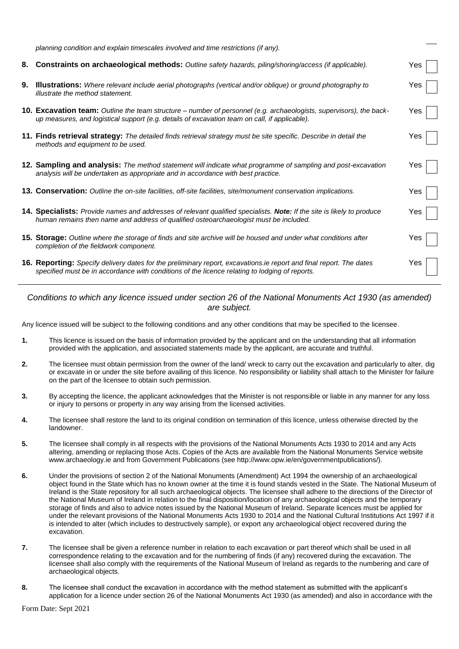|    | planning condition and explain timescales involved and time restrictions (if any).                                                                                                                                    |     |  |
|----|-----------------------------------------------------------------------------------------------------------------------------------------------------------------------------------------------------------------------|-----|--|
| 8. | Constraints on archaeological methods: Outline safety hazards, piling/shoring/access (if applicable).                                                                                                                 | Yes |  |
| 9. | <b>Illustrations:</b> Where relevant include aerial photographs (vertical and/or oblique) or ground photography to<br>illustrate the method statement.                                                                | Yes |  |
|    | 10. Excavation team: Outline the team structure – number of personnel (e.g. archaeologists, supervisors), the back-<br>up measures, and logistical support (e.g. details of excavation team on call, if applicable).  | Yes |  |
|    | 11. Finds retrieval strategy: The detailed finds retrieval strategy must be site specific. Describe in detail the<br>methods and equipment to be used.                                                                | Yes |  |
|    | <b>12. Sampling and analysis:</b> The method statement will indicate what programme of sampling and post-excavation<br>analysis will be undertaken as appropriate and in accordance with best practice.               | Yes |  |
|    | <b>13. Conservation:</b> Outline the on-site facilities, off-site facilities, site/monument conservation implications.                                                                                                | Yes |  |
|    | 14. Specialists: Provide names and addresses of relevant qualified specialists. Note: If the site is likely to produce<br>human remains then name and address of qualified osteoarchaeologist must be included.       | Yes |  |
|    | <b>15. Storage:</b> Outline where the storage of finds and site archive will be housed and under what conditions after<br>completion of the fieldwork component.                                                      | Yes |  |
|    | 16. Reporting: Specify delivery dates for the preliminary report, excavations ie report and final report. The dates<br>specified must be in accordance with conditions of the licence relating to lodging of reports. | Yes |  |

#### *Conditions to which any licence issued under section 26 of the National Monuments Act 1930 (as amended) are subject.*

Any licence issued will be subject to the following conditions and any other conditions that may be specified to the licensee.

- **1.** This licence is issued on the basis of information provided by the applicant and on the understanding that all information provided with the application, and associated statements made by the applicant, are accurate and truthful.
- **2.** The licensee must obtain permission from the owner of the land/ wreck to carry out the excavation and particularly to alter, dig or excavate in or under the site before availing of this licence. No responsibility or liability shall attach to the Minister for failure on the part of the licensee to obtain such permission.
- **3.** By accepting the licence, the applicant acknowledges that the Minister is not responsible or liable in any manner for any loss or injury to persons or property in any way arising from the licensed activities.
- **4.** The licensee shall restore the land to its original condition on termination of this licence, unless otherwise directed by the landowner.
- **5.** The licensee shall comply in all respects with the provisions of the National Monuments Acts 1930 to 2014 and any Acts altering, amending or replacing those Acts. Copies of the Acts are available from the National Monuments Service website www.archaeology.ie and from Government Publications (see http://www.opw.ie/en/governmentpublications/).
- **6.** Under the provisions of section 2 of the National Monuments (Amendment) Act 1994 the ownership of an archaeological object found in the State which has no known owner at the time it is found stands vested in the State. The National Museum of Ireland is the State repository for all such archaeological objects. The licensee shall adhere to the directions of the Director of the National Museum of Ireland in relation to the final disposition/location of any archaeological objects and the temporary storage of finds and also to advice notes issued by the National Museum of Ireland. Separate licences must be applied for under the relevant provisions of the National Monuments Acts 1930 to 2014 and the National Cultural Institutions Act 1997 if it is intended to alter (which includes to destructively sample), or export any archaeological object recovered during the excavation.
- **7.** The licensee shall be given a reference number in relation to each excavation or part thereof which shall be used in all correspondence relating to the excavation and for the numbering of finds (if any) recovered during the excavation. The licensee shall also comply with the requirements of the National Museum of Ireland as regards to the numbering and care of archaeological objects.
- **8.** The licensee shall conduct the excavation in accordance with the method statement as submitted with the applicant's application for a licence under section 26 of the National Monuments Act 1930 (as amended) and also in accordance with the

Form Date: Sept 2021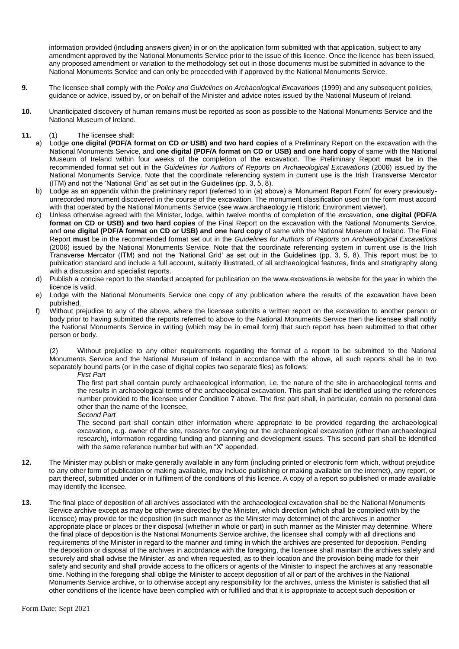information provided (including answers given) in or on the application form submitted with that application, subject to any amendment approved by the National Monuments Service prior to the issue of this licence. Once the licence has been issued, any proposed amendment or variation to the methodology set out in those documents must be submitted in advance to the National Monuments Service and can only be proceeded with if approved by the National Monuments Service.

- **9.** The licensee shall comply with the *Policy and Guidelines on Archaeological Excavations* (1999) and any subsequent policies, guidance or advice, issued by, or on behalf of the Minister and advice notes issued by the National Museum of Ireland.
- **10.** Unanticipated discovery of human remains must be reported as soon as possible to the National Monuments Service and the National Museum of Ireland.

#### **11.** (1) The licensee shall:

- a) Lodge **one digital (PDF/A format on CD or USB) and two hard copies** of a Preliminary Report on the excavation with the National Monuments Service, and **one digital (PDF/A format on CD or USB) and one hard copy** of same with the National Museum of Ireland within four weeks of the completion of the excavation. The Preliminary Report **must** be in the recommended format set out in the *Guidelines for Authors of Reports on Archaeological Excavations* (2006) issued by the National Monuments Service. Note that the coordinate referencing system in current use is the Irish Transverse Mercator (ITM) and not the 'National Grid' as set out in the Guidelines (pp. 3, 5, 8).
- b) Lodge as an appendix within the preliminary report (referred to in (a) above) a 'Monument Report Form' for every previouslyunrecorded monument discovered in the course of the excavation. The monument classification used on the form must accord with that operated by the National Monuments Service (see www.archaeology.ie Historic Environment viewer).
- c) Unless otherwise agreed with the Minister, lodge, within twelve months of completion of the excavation, **one digital (PDF/A format on CD or USB) and two hard copies** of the Final Report on the excavation with the National Monuments Service, and **one digital (PDF/A format on CD or USB) and one hard copy** of same with the National Museum of Ireland. The Final Report **must** be in the recommended format set out in the *Guidelines for Authors of Reports on Archaeological Excavations* (2006) issued by the National Monuments Service. Note that the coordinate referencing system in current use is the Irish Transverse Mercator (ITM) and not the 'National Grid' as set out in the Guidelines (pp. 3, 5, 8). This report must be to publication standard and include a full account, suitably illustrated, of all archaeological features, finds and stratigraphy along with a discussion and specialist reports.
- d) Publish a concise report to the standard accepted for publication on the www.excavations.ie website for the year in which the licence is valid.
- e) Lodge with the National Monuments Service one copy of any publication where the results of the excavation have been published.
- f) Without prejudice to any of the above, where the licensee submits a written report on the excavation to another person or body prior to having submitted the reports referred to above to the National Monuments Service then the licensee shall notify the National Monuments Service in writing (which may be in email form) that such report has been submitted to that other person or body.

(2) Without prejudice to any other requirements regarding the format of a report to be submitted to the National Monuments Service and the National Museum of Ireland in accordance with the above, all such reports shall be in two separately bound parts (or in the case of digital copies two separate files) as follows:

#### *First Part*

The first part shall contain purely archaeological information, i.e. the nature of the site in archaeological terms and the results in archaeological terms of the archaeological excavation. This part shall be identified using the references number provided to the licensee under Condition 7 above. The first part shall, in particular, contain no personal data other than the name of the licensee.

*Second Part*

The second part shall contain other information where appropriate to be provided regarding the archaeological excavation, e.g. owner of the site, reasons for carrying out the archaeological excavation (other than archaeological research), information regarding funding and planning and development issues. This second part shall be identified with the same reference number but with an "X" appended.

- **12.** The Minister may publish or make generally available in any form (including printed or electronic form which, without prejudice to any other form of publication or making available, may include publishing or making available on the internet), any report, or part thereof, submitted under or in fulfilment of the conditions of this licence. A copy of a report so published or made available may identify the licensee.
- **13.** The final place of deposition of all archives associated with the archaeological excavation shall be the National Monuments Service archive except as may be otherwise directed by the Minister, which direction (which shall be complied with by the licensee) may provide for the deposition (in such manner as the Minister may determine) of the archives in another appropriate place or places or their disposal (whether in whole or part) in such manner as the Minister may determine. Where the final place of deposition is the National Monuments Service archive, the licensee shall comply with all directions and requirements of the Minister in regard to the manner and timing in which the archives are presented for deposition. Pending the deposition or disposal of the archives in accordance with the foregoing, the licensee shall maintain the archives safely and securely and shall advise the Minister, as and when requested, as to their location and the provision being made for their safety and security and shall provide access to the officers or agents of the Minister to inspect the archives at any reasonable time. Nothing in the foregoing shall oblige the Minister to accept deposition of all or part of the archives in the National Monuments Service archive, or to otherwise accept any responsibility for the archives, unless the Minister is satisfied that all other conditions of the licence have been complied with or fulfilled and that it is appropriate to accept such deposition or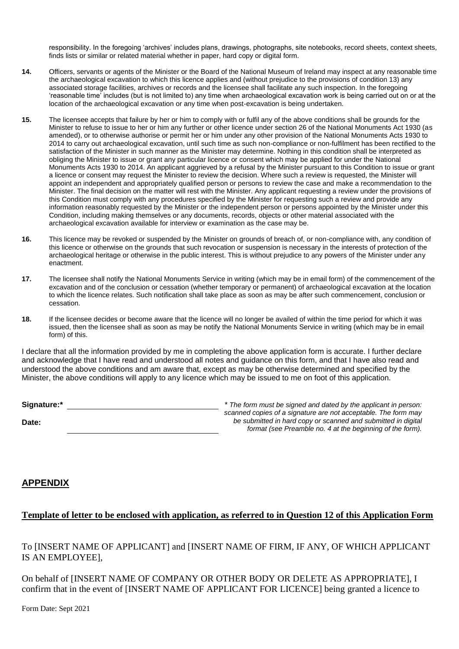responsibility. In the foregoing 'archives' includes plans, drawings, photographs, site notebooks, record sheets, context sheets, finds lists or similar or related material whether in paper, hard copy or digital form.

- **14.** Officers, servants or agents of the Minister or the Board of the National Museum of Ireland may inspect at any reasonable time the archaeological excavation to which this licence applies and (without prejudice to the provisions of condition 13) any associated storage facilities, archives or records and the licensee shall facilitate any such inspection. In the foregoing 'reasonable time' includes (but is not limited to) any time when archaeological excavation work is being carried out on or at the location of the archaeological excavation or any time when post-excavation is being undertaken.
- **15.** The licensee accepts that failure by her or him to comply with or fulfil any of the above conditions shall be grounds for the Minister to refuse to issue to her or him any further or other licence under section 26 of the National Monuments Act 1930 (as amended), or to otherwise authorise or permit her or him under any other provision of the National Monuments Acts 1930 to 2014 to carry out archaeological excavation, until such time as such non-compliance or non-fulfilment has been rectified to the satisfaction of the Minister in such manner as the Minister may determine. Nothing in this condition shall be interpreted as obliging the Minister to issue or grant any particular licence or consent which may be applied for under the National Monuments Acts 1930 to 2014. An applicant aggrieved by a refusal by the Minister pursuant to this Condition to issue or grant a licence or consent may request the Minister to review the decision. Where such a review is requested, the Minister will appoint an independent and appropriately qualified person or persons to review the case and make a recommendation to the Minister. The final decision on the matter will rest with the Minister. Any applicant requesting a review under the provisions of this Condition must comply with any procedures specified by the Minister for requesting such a review and provide any information reasonably requested by the Minister or the independent person or persons appointed by the Minister under this Condition, including making themselves or any documents, records, objects or other material associated with the archaeological excavation available for interview or examination as the case may be.
- **16.** This licence may be revoked or suspended by the Minister on grounds of breach of, or non-compliance with, any condition of this licence or otherwise on the grounds that such revocation or suspension is necessary in the interests of protection of the archaeological heritage or otherwise in the public interest. This is without prejudice to any powers of the Minister under any enactment.
- **17.** The licensee shall notify the National Monuments Service in writing (which may be in email form) of the commencement of the excavation and of the conclusion or cessation (whether temporary or permanent) of archaeological excavation at the location to which the licence relates. Such notification shall take place as soon as may be after such commencement, conclusion or cessation.
- **18.** If the licensee decides or become aware that the licence will no longer be availed of within the time period for which it was issued, then the licensee shall as soon as may be notify the National Monuments Service in writing (which may be in email form) of this.

I declare that all the information provided by me in completing the above application form is accurate. I further declare and acknowledge that I have read and understood all notes and guidance on this form, and that I have also read and understood the above conditions and am aware that, except as may be otherwise determined and specified by the Minister, the above conditions will apply to any licence which may be issued to me on foot of this application.

| Signature:* | * The fo |
|-------------|----------|
|             | scanne   |
| Date:       | be sı    |

*Sigmath must be signed and dated by the applicant in person: scanned copies of a signature are not acceptable. The form may be submitted in hard copy or scanned and submitted in digital format (see Preamble no. 4 at the beginning of the form).*

## **APPENDIX**

## **Template of letter to be enclosed with application, as referred to in Question 12 of this Application Form**

To [INSERT NAME OF APPLICANT] and [INSERT NAME OF FIRM, IF ANY, OF WHICH APPLICANT IS AN EMPLOYEE],

On behalf of [INSERT NAME OF COMPANY OR OTHER BODY OR DELETE AS APPROPRIATE], I confirm that in the event of [INSERT NAME OF APPLICANT FOR LICENCE] being granted a licence to